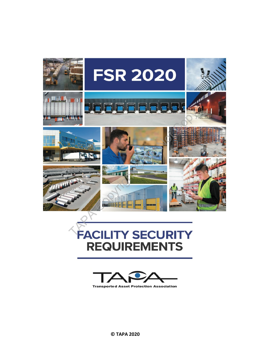

# **REQUIREMENTS**



**Transported Asset Protection Association** 

 **© TAPA 2020**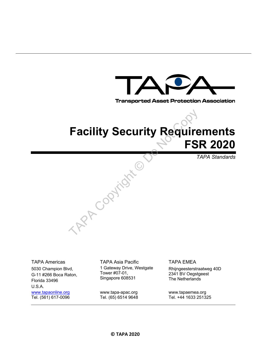

**Transported Asset Protection Association** 

# **Facility Security Requirements FSR 2020**

*TAPA Standards* 

5030 Champion Blvd, G-11 #266 Boca Raton, Florida 33496 U.S.A. www.tapaonline.org Tel. (561) 617-0096

TAPA Americas TAPA Asia Pacific TAPA EMEA 1 Gateway Drive, Westgate Tower #07-01, Singapore 608531

> www.tapa-apac.org Tel. (65) 6514 9648

TAP Copyright ©

Rhijngeesterstraatweg 40D 2341 BV Oegstgeest The Netherlands

www.tapaemea.org Tel. +44 1633 251325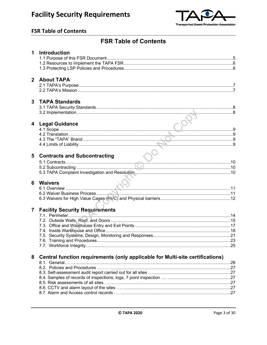

#### **FSR Table of Contents**

## **FSR Table of Contents**

|                         | 1 Introduction                                                                |  |
|-------------------------|-------------------------------------------------------------------------------|--|
|                         |                                                                               |  |
|                         |                                                                               |  |
|                         |                                                                               |  |
|                         | 2 About TAPA                                                                  |  |
|                         |                                                                               |  |
|                         |                                                                               |  |
|                         |                                                                               |  |
| $\overline{\mathbf{3}}$ | <b>TAPA Standards</b>                                                         |  |
|                         |                                                                               |  |
|                         |                                                                               |  |
|                         |                                                                               |  |
| $\overline{\mathbf{4}}$ | <b>Legal Guidance</b>                                                         |  |
|                         |                                                                               |  |
|                         |                                                                               |  |
|                         |                                                                               |  |
|                         |                                                                               |  |
|                         |                                                                               |  |
| 5                       | <b>Contracts and Subcontracting</b>                                           |  |
|                         |                                                                               |  |
|                         |                                                                               |  |
|                         |                                                                               |  |
|                         |                                                                               |  |
| 6                       | <b>Waivers</b>                                                                |  |
|                         |                                                                               |  |
|                         |                                                                               |  |
|                         |                                                                               |  |
|                         |                                                                               |  |
| $\overline{7}$          | <b>Facility Security Requirements</b>                                         |  |
|                         |                                                                               |  |
|                         |                                                                               |  |
|                         |                                                                               |  |
|                         |                                                                               |  |
|                         |                                                                               |  |
|                         |                                                                               |  |
|                         |                                                                               |  |
| 8                       |                                                                               |  |
|                         | Central function requirements (only applicable for Multi-site certifications) |  |
|                         |                                                                               |  |
|                         |                                                                               |  |
|                         |                                                                               |  |
|                         |                                                                               |  |
|                         |                                                                               |  |
|                         |                                                                               |  |
|                         |                                                                               |  |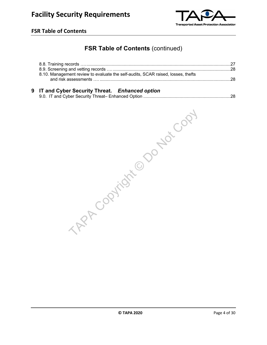

#### **FSR Table of Contents**

## **FSR Table of Contents (continued)**

| 8.10. Management review to evaluate the self-audits, SCAR raised, losses, thefts |  |
|----------------------------------------------------------------------------------|--|
|                                                                                  |  |

#### **9 IT and Cyber Security Threat.** *Enhanced option*

TAP Copyright © Do Not Copy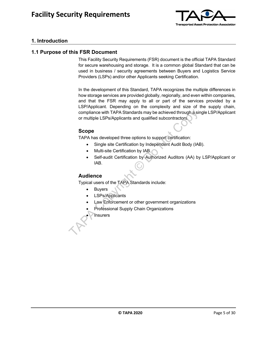

#### **1. Introduction**

#### **1.1 Purpose of this FSR Document**

This Facility Security Requirements (FSR) document is the official TAPA Standard for secure warehousing and storage. It is a common global Standard that can be used in business / security agreements between Buyers and Logistics Service Providers (LSPs) and/or other Applicants seeking Certification.

In the development of this Standard, TAPA recognizes the multiple differences in how storage services are provided globally, regionally, and even within companies, and that the FSR may apply to all or part of the services provided by a LSP/Applicant. Depending on the complexity and size of the supply chain, compliance with TAPA Standards may be achieved through a single LSP/Applicant or multiple LSPs/Applicants and qualified subcontractors. compliance with TAPA Standards may be achieved through a sir<br>or multiple LSPs/Applicants and qualified subcontractors.<br>
Scope<br>
TAPA has developed three options to support certification:<br>
• Single site Certification by IAB.

#### **Scope**

TAPA has developed three options to support certification:

- Single site Certification by Independent Audit Body (IAB).
- Multi-site Certification by IAB.
- Self-audit Certification by Authorized Auditors (AA) by LSP/Applicant or IAB.

#### **Audience**

Typical users of the TAPA Standards include:

- **Buyers**
- LSPs/Applicants
- Law Enforcement or other government organizations
- Professional Supply Chain Organizations
- **Insurers**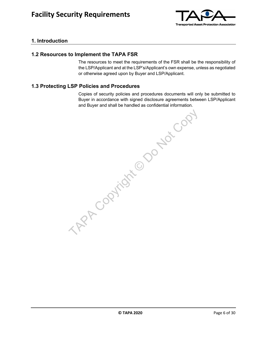

#### **1. Introduction**

#### **1.2 Resources to Implement the TAPA FSR**

The resources to meet the requirements of the FSR shall be the responsibility of the LSP/Applicant and at the LSP's/Applicant's own expense, unless as negotiated or otherwise agreed upon by Buyer and LSP/Applicant.

#### **1.3 Protecting LSP Policies and Procedures**

Copies of security policies and procedures documents will only be submitted to Buyer in accordance with signed disclosure agreements between LSP/Applicant and Buyer and shall be handled as confidential information.

TAP Copyright © Do Not Copy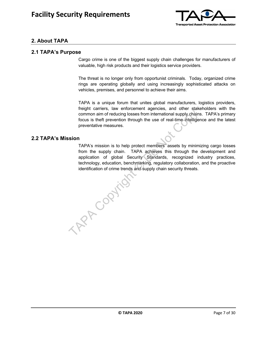

#### **2. About TAPA**

#### **2.1 TAPA's Purpose**

Cargo crime is one of the biggest supply chain challenges for manufacturers of valuable, high risk products and their logistics service providers.

The threat is no longer only from opportunist criminals. Today, organized crime rings are operating globally and using increasingly sophisticated attacks on vehicles, premises, and personnel to achieve their aims.

TAPA is a unique forum that unites global manufacturers, logistics providers, freight carriers, law enforcement agencies, and other stakeholders with the common aim of reducing losses from international supply chains. TAPA's primary focus is theft prevention through the use of real-time intelligence and the latest preventative measures.

#### **2.2 TAPA's Mission**

TAPA's mission is to help protect members' assets by minimizing cargo losses from the supply chain. TAPA achieves this through the development and application of global Security Standards, recognized industry practices, technology, education, benchmarking, regulatory collaboration, and the proactive identification of crime trends and supply chain security threats. TAP Copyright

**C TAPA 2020 Page 7 of 30**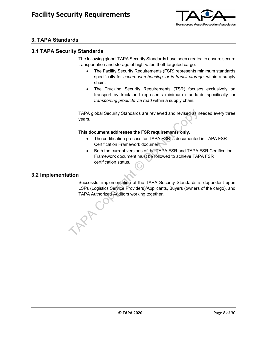

#### **3. TAPA Standards**

#### **3.1 TAPA Security Standards**

The following global TAPA Security Standards have been created to ensure secure transportation and storage of high-value theft-targeted cargo:

- The Facility Security Requirements (FSR) represents minimum standards specifically for *secure warehousing, or in-transit storage,* within a supply chain.
- The Trucking Security Requirements (TSR) focuses exclusively on transport by truck and represents minimum standards specifically for *transporting products via road* within a supply chain.

TAPA global Security Standards are reviewed and revised as needed every three years.

#### **This document addresses the FSR requirements only.**

- The certification process for TAPA FSR is documented in TAPA FSR Certification Framework document.
- Both the current versions of the TAPA FSR and TAPA FSR Certification Framework document must be followed to achieve TAPA FSR certification status.

#### **3.2 Implementation**

Successful implementation of the TAPA Security Standards is dependent upon LSPs (Logistics Service Providers)/Applicants, Buyers (owners of the cargo), and TAPA Authorized Auditors working together. TAPA global Security Standards are reviewed and revised as n<br>years.<br>This document addresses the FSR requirements only.<br>This document addresses the FSR requirements only.<br>The certification promesos for TAPA FSR is documente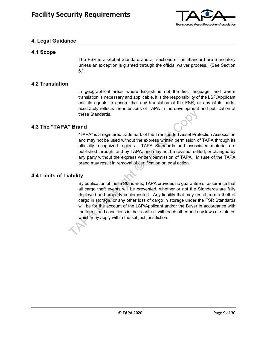

#### **4. Legal Guidance**

#### **4.1 Scope**

The FSR is a Global Standard and all sections of the Standard are mandatory unless an exception is granted through the official waiver process. (See Section 6.).

#### **4.2 Translation**

In geographical areas where English is not the first language, and where translation is necessary and applicable, it is the responsibility of the LSP/Applicant and its agents to ensure that any translation of the FSR, or any of its parts, accurately reflects the intentions of TAPA in the development and publication of these Standards.

#### **4.3 The "TAPA" Brand**

"TAPA" is a registered trademark of the Transported Asset Protection Association and may not be used without the express written permission of TAPA through its officially recognized regions. TAPA Standards and associated material are published through, and by TAPA, and may not be revised, edited, or changed by any party without the express written permission of TAPA. Misuse of the TAPA brand may result in removal of certification or legal action.

#### **4.4 Limits of Liability**

By publication of these Standards, TAPA provides no guarantee or assurance that all cargo theft events will be prevented, whether or not the Standards are fully deployed and properly implemented. Any liability that may result from a theft of cargo in storage, or any other loss of cargo in storage under the FSR Standards will be for the account of the LSP/Applicant and/or the Buyer in accordance with the terms and conditions in their contract with each other and any laws or statutes which may apply within the subject jurisdiction. The Standards Controllation of the Standards Controllation of the Standards of the Standard Controllation of the Standards and may not be used without the express written permission of officially recognized regions. TAPA S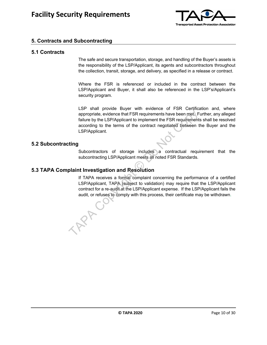

#### **5. Contracts and Subcontracting**

#### **5.1 Contracts**

The safe and secure transportation, storage, and handling of the Buyer's assets is the responsibility of the LSP/Applicant, its agents and subcontractors throughout the collection, transit, storage, and delivery, as specified in a release or contract.

Where the FSR is referenced or included in the contract between the LSP/Applicant and Buyer, it shall also be referenced in the LSP's/Applicant's security program.

LSP shall provide Buyer with evidence of FSR Certification and, where appropriate, evidence that FSR requirements have been met. Further, any alleged failure by the LSP/Applicant to implement the FSR requirements shall be resolved according to the terms of the contract negotiated between the Buyer and the LSP/Applicant. Experiments have been met Container appropriate, evidence that FSR requirements have been met F<br>failure by the LSP/Applicant to implement the FSR requirements<br>according to the terms of the contract negotiated between t<br>LSP

#### **5.2 Subcontracting**

Subcontractors of storage includes a contractual requirement that the subcontracting LSP/Applicant meets all noted FSR Standards.

#### **5.3 TAPA Complaint Investigation and Resolution**

If TAPA receives a formal complaint concerning the performance of a certified LSP/Applicant, TAPA (subject to validation) may require that the LSP/Applicant contract for a re-audit at the LSP/Applicant expense. If the LSP/Applicant fails the audit, or refuses to comply with this process, their certificate may be withdrawn.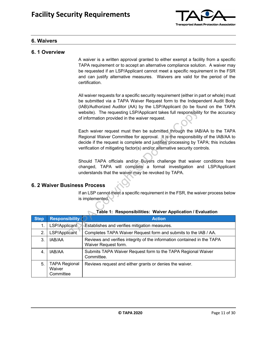

#### **6. Waivers**

#### **6. 1 Overview**

A waiver is a written approval granted to either exempt a facility from a specific TAPA requirement or to accept an alternative compliance solution. A waiver may be requested if an LSP/Applicant cannot meet a specific requirement in the FSR and can justify alternative measures. Waivers are valid for the period of the certification.

All waiver requests for a specific security requirement (either in part or whole) must be submitted via a TAPA Waiver Request form to the Independent Audit Body (IAB)/Authorized Auditor (AA) by the LSP/Applicant (to be found on the TAPA website). The requesting LSP/Applicant takes full responsibility for the accuracy of information provided in the waiver request.

#### **6. 2 Waiver Business Process**

|             |                                     | website). The requesting LSP/Applicant takes full responsibility for the accuracy<br>of information provided in the waiver request.                                                                                                                                                                                               |
|-------------|-------------------------------------|-----------------------------------------------------------------------------------------------------------------------------------------------------------------------------------------------------------------------------------------------------------------------------------------------------------------------------------|
|             |                                     | Each waiver request must then be submitted through the IAB/AA to the TAPA<br>Regional Waiver Committee for approval. It is the responsibility of the IAB/AA to<br>decide if the request is complete and justifies processing by TAPA; this includes<br>verification of mitigating factor(s) and/or alternative security controls. |
|             |                                     | Should TAPA officials and/or Buyers challenge that waiver conditions have<br>changed, TAPA will complete a formal investigation and LSP/Applicant<br>understands that the waiver may be revoked by TAPA.                                                                                                                          |
|             | <b>6. 2 Waiver Business Process</b> |                                                                                                                                                                                                                                                                                                                                   |
|             |                                     |                                                                                                                                                                                                                                                                                                                                   |
|             |                                     | If an LSP cannot meet a specific requirement in the FSR, the waiver process below<br>is implemented.<br>Table 1: Responsibilities: Waiver Application / Evaluation                                                                                                                                                                |
| <b>Step</b> | <b>Responsibility</b>               | <b>Action</b>                                                                                                                                                                                                                                                                                                                     |
| 1.          | LSP/Applicant                       | Establishes and verifies mitigation measures.                                                                                                                                                                                                                                                                                     |
| 2.          | LSP/Applicant                       | Completes TAPA Waiver Request form and submits to the IAB / AA.                                                                                                                                                                                                                                                                   |
| 3.          | IAB/AA                              | Reviews and verifies integrity of the information contained in the TAPA<br>Waiver Request form.                                                                                                                                                                                                                                   |
| 4.          | IAB/AA                              | Submits TAPA Waiver Request form to the TAPA Regional Waiver<br>Committee.                                                                                                                                                                                                                                                        |

|  | Table 1: Responsibilities: Waiver Application / Evaluation |  |
|--|------------------------------------------------------------|--|
|  |                                                            |  |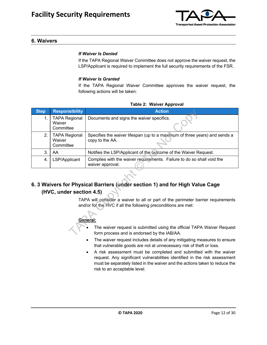

#### **6. Waivers**

#### *If Waiver Is Denied*

If the TAPA Regional Waiver Committee does not approve the waiver request, the LSP/Applicant is required to implement the full security requirements of the FSR.

#### *If Waiver Is Granted*

If the TAPA Regional Waiver Committee approves the waiver request, the following actions will be taken:

| <b>Step</b> | <b>Responsibility</b>                                                                                                                                          | <b>Action</b>                                                                                                         |  |  |  |  |
|-------------|----------------------------------------------------------------------------------------------------------------------------------------------------------------|-----------------------------------------------------------------------------------------------------------------------|--|--|--|--|
| 1.          | <b>TAPA Regional</b><br>Waiver<br>Committee                                                                                                                    | Documents and signs the waiver specifics.                                                                             |  |  |  |  |
| 2.          | <b>TAPA Regional</b><br>Waiver<br>Committee                                                                                                                    | Specifies the waiver lifespan (up to a maximum of three years) and sends a<br>copy to the AA.                         |  |  |  |  |
| 3.          | AA                                                                                                                                                             | Notifies the LSP/Applicant of the outcome of the Waiver Request.                                                      |  |  |  |  |
| 4.          | LSP/Applicant                                                                                                                                                  | Complies with the waiver requirements. Failure to do so shall void the<br>waiver approval.                            |  |  |  |  |
|             | (HVC, under section 4.5)                                                                                                                                       | 6. 3 Waivers for Physical Barriers (under section 1) and for High Value Cage                                          |  |  |  |  |
|             | TAPA will consider a waiver to all or part of the perimeter barrier requirements<br>and/or for the HVC if all the following preconditions are met:<br>General: |                                                                                                                       |  |  |  |  |
|             |                                                                                                                                                                | The waiver request is submitted using the official TAPA Waiver Request<br>form process and is endorsed by the IAB/AA. |  |  |  |  |

#### **Table 2: Waiver Approval**

#### **6. 3 Waivers for Physical Barriers (under section 1) and for High Value Cage (HVC, under section 4.5)**

## **General:**

- The waiver request is submitted using the official TAPA Waiver Request form process and is endorsed by the IAB/AA.
	- The waiver request includes details of any mitigating measures to ensure that vulnerable goods are not at unnecessary risk of theft or loss.
- A risk assessment must be completed and submitted with the waiver request. Any significant vulnerabilities identified in the risk assessment must be separately listed in the waiver and the actions taken to reduce the risk to an acceptable level.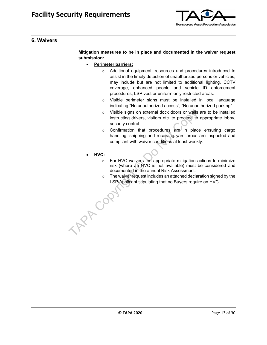

#### **6. Waivers**

**Mitigation measures to be in place and documented in the waiver request submission:**

- **Perimeter barriers:** 
	- o Additional equipment, resources and procedures introduced to assist in the timely detection of unauthorized persons or vehicles, may include but are not limited to additional lighting, CCTV coverage, enhanced people and vehicle ID enforcement procedures, LSP vest or uniform only restricted areas.
	- o Visible perimeter signs must be installed in local language indicating "No unauthorized access", "No unauthorized parking".
	- o Visible signs on external dock doors or walls are to be installed instructing drivers, visitors etc. to proceed to appropriate lobby, security control.
	- o Confirmation that procedures are in place ensuring cargo handling, shipping and receiving yard areas are inspected and compliant with waiver conditions at least weekly.
- **HVC:**

TAP COP

- o For HVC waivers the appropriate mitigation actions to minimize risk (where an HVC is not available) must be considered and documented in the annual Risk Assessment.
- o The waiver request includes an attached declaration signed by the LSP/Applicant stipulating that no Buyers require an HVC.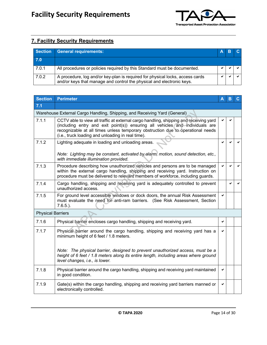

| <b>Section</b> | <b>General requirements:</b>                                                                                                                           | A |  |
|----------------|--------------------------------------------------------------------------------------------------------------------------------------------------------|---|--|
| 7.0            |                                                                                                                                                        |   |  |
| 7.0.1          | All procedures or policies required by this Standard must be documented.                                                                               |   |  |
| 7.0.2          | A procedure, log and/or key-plan is required for physical locks, access cards<br>and/or keys that manage and control the physical and electronic keys. |   |  |

| <b>Section</b>           | <b>Perimeter</b>                                                                                                                                                                                                                                                                                                                   | А            | B | C. |
|--------------------------|------------------------------------------------------------------------------------------------------------------------------------------------------------------------------------------------------------------------------------------------------------------------------------------------------------------------------------|--------------|---|----|
| 7.1                      |                                                                                                                                                                                                                                                                                                                                    |              |   |    |
|                          | Warehouse External Cargo Handling, Shipping, and Receiving Yard (General)                                                                                                                                                                                                                                                          |              |   |    |
| 7.1.1                    | CCTV able to view all traffic at external cargo handling, shipping and receiving yard<br>(including entry and exit point(s)) ensuring all vehicles and individuals are<br>recognizable at all times unless temporary obstruction due to operational needs<br>(i.e., truck loading and unloading in real time).                     |              |   |    |
| 7.1.2                    | Lighting adequate in loading and unloading areas.<br>Note: Lighting may be constant, activated by alarm, motion, sound detection, etc.,<br>with immediate illumination provided.                                                                                                                                                   | ✓            |   |    |
| 7.1.3                    | Procedure describing how unauthorized vehicles and persons are to be managed<br>within the external cargo handling, shipping and receiving yard. Instruction on<br>procedure must be delivered to relevant members of workforce, including guards.                                                                                 | ✓            |   |    |
| 7.1.4                    | Cargo handling, shipping and receiving yard is adequately controlled to prevent<br>unauthorized access.                                                                                                                                                                                                                            |              | ✔ | ✓  |
| 7.1.5                    | For ground level accessible windows or dock doors, the annual Risk Assessment<br>must evaluate the need for anti-ram barriers. (See Risk Assessment, Section<br>$7.6.5.$ ).                                                                                                                                                        | $\checkmark$ |   |    |
| <b>Physical Barriers</b> |                                                                                                                                                                                                                                                                                                                                    |              |   |    |
| 7.1.6                    | Physical barrier encloses cargo handling, shipping and receiving yard.                                                                                                                                                                                                                                                             | ✔            |   |    |
| 7.1.7                    | Physical barrier around the cargo handling, shipping and receiving yard has a<br>minimum height of 6 feet / 1.8 meters.<br>Note: The physical barrier, designed to prevent unauthorized access, must be a<br>height of 6 feet / 1.8 meters along its entire length, including areas where ground<br>level changes, i.e., is lower. | ✔            |   |    |
| 7.1.8                    | Physical barrier around the cargo handling, shipping and receiving yard maintained<br>in good condition.                                                                                                                                                                                                                           | ✔            |   |    |
| 7.1.9                    | Gate(s) within the cargo handling, shipping and receiving yard barriers manned or<br>electronically controlled.                                                                                                                                                                                                                    | ✔            |   |    |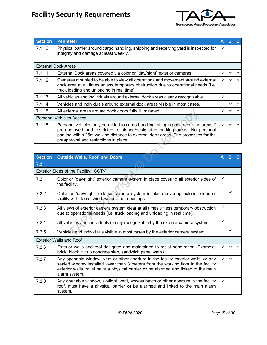

| <b>Section</b> | <b>Perimeter</b>                                                                                                                                                                                                                                                                                  | Α | в |  |
|----------------|---------------------------------------------------------------------------------------------------------------------------------------------------------------------------------------------------------------------------------------------------------------------------------------------------|---|---|--|
| 7.1.10         | Physical barrier around cargo handling, shipping and receiving yard is inspected for<br>integrity and damage at least weekly.                                                                                                                                                                     | ✔ |   |  |
|                | <b>External Dock Areas</b>                                                                                                                                                                                                                                                                        |   |   |  |
| 7.1.11         | External Dock areas covered via color or "day/night" exterior cameras.                                                                                                                                                                                                                            | ✔ |   |  |
| 7.1.12         | Cameras mounted to be able to view all operations and movement around external<br>dock area at all times unless temporary obstruction due to operational needs (i.e.<br>truck loading and unloading in real time).                                                                                | ✔ |   |  |
| 7.1.13         | All vehicles and individuals around external dock areas clearly recognizable.                                                                                                                                                                                                                     | ✔ |   |  |
| 7.1.14         | Vehicles and individuals around external dock areas visible in most cases.                                                                                                                                                                                                                        |   |   |  |
| 7.1.15         | All external areas around dock doors fully illuminated.                                                                                                                                                                                                                                           |   |   |  |
|                | <b>Personal Vehicles Access</b>                                                                                                                                                                                                                                                                   |   |   |  |
| 7.1.16         | Personal vehicles only permitted to cargo handling, shipping and receiving areas if<br>pre-approved and restricted to signed/designated parking areas. No personal<br>parking within 25m walking distance to external dock areas. The processes for the<br>preapproval and restrictions in place. |   |   |  |

| 7.1.15         | All external areas around dock doors fully illuminated.                                                                                                                                                                                                                                           |   |   |    |
|----------------|---------------------------------------------------------------------------------------------------------------------------------------------------------------------------------------------------------------------------------------------------------------------------------------------------|---|---|----|
|                | <b>Personal Vehicles Access</b>                                                                                                                                                                                                                                                                   |   |   |    |
| 7.1.16         | Personal vehicles only permitted to cargo handling, shipping and receiving areas if<br>pre-approved and restricted to signed/designated parking areas. No personal<br>parking within 25m walking distance to external dock areas. The processes for the<br>preapproval and restrictions in place. |   |   |    |
|                |                                                                                                                                                                                                                                                                                                   |   |   |    |
| <b>Section</b> | <b>Outside Walls, Roof, and Doors</b>                                                                                                                                                                                                                                                             | Α | B | C. |
| 7.2            |                                                                                                                                                                                                                                                                                                   |   |   |    |
|                | Exterior Sides of the Facility: CCTV                                                                                                                                                                                                                                                              |   |   |    |
| 7.2.1          | Color or "day/night" exterior camera system in place covering all exterior sides of<br>the facility.                                                                                                                                                                                              | ✔ |   |    |
| 7.2.2          | Color or "day/night" exterior camera system in place covering exterior sides of<br>facility with doors, windows or other openings.                                                                                                                                                                |   |   |    |
| 7.2.3          | All views of exterior camera system clear at all times unless temporary obstruction<br>due to operational needs (i.e. truck loading and unloading in real time).                                                                                                                                  | ✔ |   |    |
| 7.2.4          | All vehicles and individuals clearly recognizable by the exterior camera system.                                                                                                                                                                                                                  | ✓ |   |    |
| 7.2.5          | Vehicles and individuals visible in most cases by the exterior camera system.                                                                                                                                                                                                                     |   |   |    |
|                | <b>Exterior Walls and Roof</b>                                                                                                                                                                                                                                                                    |   |   |    |
| 7.2.6          | Exterior walls and roof designed and maintained to resist penetration (Example:<br>brick, block, tilt up concrete slab, sandwich panel walls).                                                                                                                                                    |   |   |    |
| 7.2.7          | Any openable window, vent or other aperture in the facility exterior walls, or any<br>sealed window installed lower than 3 meters from the working floor in the facility<br>exterior walls, must have a physical barrier or be alarmed and linked to the main<br>alarm system.                    |   |   |    |
| 7.2.8          | Any openable window, skylight, vent, access hatch or other aperture in the facility<br>roof, must have a physical barrier or be alarmed and linked to the main alarm<br>system.                                                                                                                   | ✔ |   |    |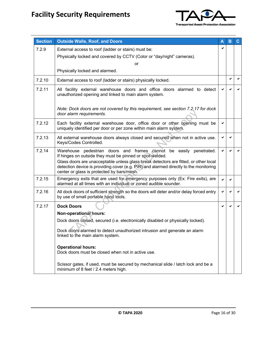

| <b>Section</b> | <b>Outside Walls, Roof, and Doors</b>                                                                                                                                                                                                                                                                                                                         | Α | в            | C |
|----------------|---------------------------------------------------------------------------------------------------------------------------------------------------------------------------------------------------------------------------------------------------------------------------------------------------------------------------------------------------------------|---|--------------|---|
| 7.2.9          | External access to roof (ladder or stairs) must be:                                                                                                                                                                                                                                                                                                           | ✔ |              |   |
|                | Physically locked and covered by CCTV (Color or "day/night" cameras).                                                                                                                                                                                                                                                                                         |   |              |   |
|                | or                                                                                                                                                                                                                                                                                                                                                            |   |              |   |
|                | Physically locked and alarmed.                                                                                                                                                                                                                                                                                                                                |   |              |   |
| 7.2.10         | External access to roof (ladder or stairs) physically locked.                                                                                                                                                                                                                                                                                                 |   | ✔            | ✔ |
| 7.2.11         | All facility external warehouse doors and office doors alarmed to detect<br>unauthorized opening and linked to main alarm system.                                                                                                                                                                                                                             |   | ✔            |   |
|                | Note: Dock doors are not covered by this requirement, see section 7.2.17 for dock<br>door alarm requirements.                                                                                                                                                                                                                                                 |   |              |   |
| 7.2.12         | Each facility external warehouse door, office door or other opening must be<br>uniquely identified per door or per zone within main alarm system.                                                                                                                                                                                                             | ✓ |              |   |
| 7.2.13         | All external warehouse doors always closed and secured when not in active use.<br>Keys/Codes Controlled.                                                                                                                                                                                                                                                      |   |              |   |
| 7.2.14         | Warehouse pedestrian doors and frames cannot be easily penetrated.<br>If hinges on outside they must be pinned or spot-welded.<br>Glass doors are unacceptable unless glass break detectors are fitted, or other local<br>detection device is providing cover (e.g. PIR) and alarmed directly to the monitoring<br>center or glass is protected by bars/mesh. | ✔ | $\checkmark$ |   |
| 7.2.15         | Emergency exits that are used for emergency purposes only (Ex: Fire exits), are<br>alarmed at all times with an individual or zoned audible sounder.                                                                                                                                                                                                          |   | ✔            |   |
| 7.2.16         | All dock doors of sufficient strength so the doors will deter and/or delay forced entry<br>by use of small portable hand tools.                                                                                                                                                                                                                               |   | ✔            |   |
| 7.2.17         | <b>Dock Doors</b>                                                                                                                                                                                                                                                                                                                                             | ✔ | ✔            |   |
|                | <b>Non-operational hours:</b>                                                                                                                                                                                                                                                                                                                                 |   |              |   |
|                | Dock doors closed, secured (i.e. electronically disabled or physically locked).                                                                                                                                                                                                                                                                               |   |              |   |
|                | Dock doors alarmed to detect unauthorized intrusion and generate an alarm<br>linked to the main alarm system.                                                                                                                                                                                                                                                 |   |              |   |
|                | <b>Operational hours:</b><br>Dock doors must be closed when not in active use.                                                                                                                                                                                                                                                                                |   |              |   |
|                | Scissor gates, if used, must be secured by mechanical slide / latch lock and be a<br>minimum of 8 feet / 2.4 meters high.                                                                                                                                                                                                                                     |   |              |   |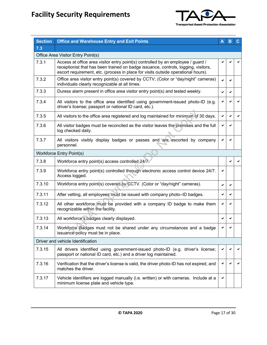

| <b>Section</b> | <b>Office and Warehouse Entry and Exit Points</b>                                                                                                                                                                                                           | Α | в | C |
|----------------|-------------------------------------------------------------------------------------------------------------------------------------------------------------------------------------------------------------------------------------------------------------|---|---|---|
| 7.3            |                                                                                                                                                                                                                                                             |   |   |   |
|                | Office Area Visitor Entry Point(s)                                                                                                                                                                                                                          |   |   |   |
| 7.3.1          | Access at office area visitor entry point(s) controlled by an employee / guard /<br>receptionist that has been trained on badge issuance, controls, logging, visitors,<br>escort requirement, etc. (process in place for visits outside operational hours). |   |   |   |
| 7.3.2          | Office area visitor entry point(s) covered by CCTV; (Color or "day/night" cameras)<br>individuals clearly recognizable at all times.                                                                                                                        | ✓ |   |   |
| 7.3.3          | Duress alarm present in office area visitor entry point(s) and tested weekly.                                                                                                                                                                               | ✓ |   |   |
| 7.3.4          | All visitors to the office area identified using government-issued photo-ID (e.g.<br>driver's license; passport or national ID card, etc.).                                                                                                                 | ✔ |   |   |
| 7.3.5          | All visitors to the office area registered and log maintained for minimum of 30 days.                                                                                                                                                                       | ✔ |   | ✓ |
| 7.3.6          | All visitor badges must be reconciled as the visitor leaves the premises and the full<br>log checked daily.                                                                                                                                                 | ✔ |   |   |
| 7.3.7          | All visitors visibly display badges or passes and are escorted by company<br>personnel.                                                                                                                                                                     | ✔ |   |   |
|                | <b>Workforce Entry Point(s)</b>                                                                                                                                                                                                                             |   |   |   |
| 7.3.8          | Workforce entry point(s) access controlled 24/7.                                                                                                                                                                                                            |   |   |   |
| 7.3.9          | Workforce entry point(s) controlled through electronic access control device 24/7.<br>Access logged.                                                                                                                                                        | ✔ |   |   |
| 7.3.10         | Workforce entry point(s) covered by CCTV. (Color or "day/night" cameras).                                                                                                                                                                                   | ✔ |   |   |
| 7.3.11         | After vetting, all employees must be issued with company photo-ID badges.                                                                                                                                                                                   | ✔ |   |   |
| 7.3.12         | All other workforce must be provided with a company ID badge to make them<br>recognizable within the facility.                                                                                                                                              | ✔ |   |   |
| 7.3.13         | All workforce's badges clearly displayed.                                                                                                                                                                                                                   | ✔ | ✔ |   |
| 7.3.14         | Workforce Badges must not be shared under any circumstances and a badge<br>issuance policy must be in place.                                                                                                                                                | ✔ |   |   |
|                | Driver and vehicle Identification                                                                                                                                                                                                                           |   |   |   |
| 7.3.15         | All drivers identified using government-issued photo-ID (e.g. driver's license;<br>passport or national ID card, etc.) and a driver log maintained.                                                                                                         | ✔ |   | ✔ |
| 7.3.16         | Verification that the driver's license is valid, the driver photo-ID has not expired, and<br>matches the driver.                                                                                                                                            | ✔ |   | ✔ |
| 7.3.17         | Vehicle identifiers are logged manually (i.e. written) or with cameras. Include at a<br>minimum license plate and vehicle type.                                                                                                                             | ✔ |   |   |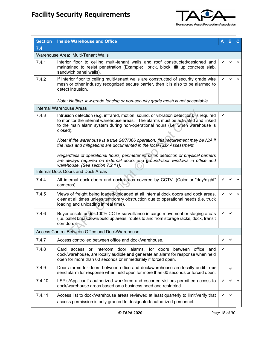

| <b>Section</b> | <b>Inside Warehouse and Office</b>                                                                                                                                                                                                                                       | A            | B            |   |
|----------------|--------------------------------------------------------------------------------------------------------------------------------------------------------------------------------------------------------------------------------------------------------------------------|--------------|--------------|---|
| 7.4            |                                                                                                                                                                                                                                                                          |              |              |   |
|                | Warehouse Area: Multi-Tenant Walls                                                                                                                                                                                                                                       |              |              |   |
| 7.4.1          | Interior floor to ceiling multi-tenant walls and roof constructed/designed and<br>maintained to resist penetration (Example: brick, block, tilt up concrete slab,<br>sandwich panel walls).                                                                              |              | ✔            |   |
| 7.4.2          | If Interior floor to ceiling multi-tenant walls are constructed of security grade wire<br>mesh or other industry recognized secure barrier, then it is also to be alarmed to<br>detect intrusion.                                                                        | $\checkmark$ | $\checkmark$ | ✔ |
|                | Note: Netting, low-grade fencing or non-security grade mesh is not acceptable.                                                                                                                                                                                           |              |              |   |
|                | Internal Warehouse Areas                                                                                                                                                                                                                                                 |              |              |   |
| 7.4.3          | Intrusion detection (e.g. infrared, motion, sound, or vibration detection), is required<br>to monitor the internal warehouse areas. The alarms must be activated and linked<br>to the main alarm system during non-operational hours (I.e. when warehouse is<br>closed). |              |              |   |
|                | Note: If the warehouse is a true 24/7/366 operation, this requirement may be N/A if<br>the risks and mitigations are documented in the local Risk Assessment.                                                                                                            |              |              |   |
|                | Regardless of operational hours, perimeter intrusion detection or physical barriers<br>are always required on external doors and ground-floor windows in office and<br>warehouse. (See section 7.2.11).                                                                  |              |              |   |
|                | Internal Dock Doors and Dock Areas                                                                                                                                                                                                                                       |              |              |   |
| 7.4.4          | All internal dock doors and dock areas covered by CCTV. (Color or "day/night"<br>cameras).                                                                                                                                                                               |              |              |   |
| 7.4.5          | Views of freight being loaded/unloaded at all internal dock doors and dock areas,<br>clear at all times unless temporary obstruction due to operational needs (i.e. truck<br>loading and unloading in real time).                                                        |              | ✓            |   |
| 7.4.6          | Buyer assets under 100% CCTV surveillance in cargo movement or staging areas<br>(i.e. pallet breakdown/build up areas, routes to and from storage racks, dock, transit<br>corridors).                                                                                    |              | ✔            |   |
|                | Access Control Between Office and Dock/Warehouse                                                                                                                                                                                                                         |              |              |   |
| 7.4.7          | Access controlled between office and dock/warehouse.                                                                                                                                                                                                                     | ✔            | ✔            |   |
| 7.4.8          | Card access or intercom door alarms, for doors between office and<br>dock/warehouse, are locally audible and generate an alarm for response when held<br>open for more than 60 seconds or immediately if forced open.                                                    | ✔            |              |   |
| 7.4.9          | Door alarms for doors between office and dock/warehouse are locally audible or<br>send alarm for response when held open for more than 60 seconds or forced open.                                                                                                        |              | ✔            |   |
| 7.4.10         | LSP's/Applicant's authorized workforce and escorted visitors permitted access to<br>dock/warehouse areas based on a business need and restricted.                                                                                                                        | ✔            | ✔            |   |
| 7.4.11         | Access list to dock/warehouse areas reviewed at least quarterly to limit/verify that<br>access permission is only granted to designated/authorized personnel.                                                                                                            | ✔            | ✔            |   |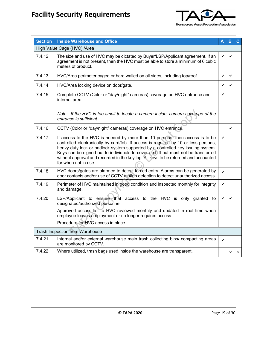

| <b>Section</b> | <b>Inside Warehouse and Office</b>                                                                                                                                                                                                                                                                                                                                                                                                                          |              | в | С |
|----------------|-------------------------------------------------------------------------------------------------------------------------------------------------------------------------------------------------------------------------------------------------------------------------------------------------------------------------------------------------------------------------------------------------------------------------------------------------------------|--------------|---|---|
|                | High Value Cage (HVC) /Area                                                                                                                                                                                                                                                                                                                                                                                                                                 |              |   |   |
| 7.4.12         | The size and use of HVC may be dictated by Buyer/LSP/Applicant agreement. If an<br>agreement is not present, then the HVC must be able to store a minimum of 6 cubic<br>meters of product.                                                                                                                                                                                                                                                                  |              |   |   |
| 7.4.13         | HVC/Area perimeter caged or hard walled on all sides, including top/roof.                                                                                                                                                                                                                                                                                                                                                                                   | ✔            | ✓ |   |
| 7.4.14         | HVC/Area locking device on door/gate.                                                                                                                                                                                                                                                                                                                                                                                                                       |              |   |   |
| 7.4.15         | Complete CCTV (Color or "day/night" cameras) coverage on HVC entrance and<br>internal area.                                                                                                                                                                                                                                                                                                                                                                 |              |   |   |
|                | Note: If the HVC is too small to locate a camera inside, camera coverage of the<br>entrance is sufficient.                                                                                                                                                                                                                                                                                                                                                  |              |   |   |
| 7.4.16         | CCTV (Color or "day/night" cameras) coverage on HVC entrance.                                                                                                                                                                                                                                                                                                                                                                                               |              | ✓ |   |
| 7.4.17         | If access to the HVC is needed by more than 10 persons, then access is to be<br>controlled electronically by card/fob. If access is required by 10 or less persons,<br>heavy-duty lock or padlock system supported by a controlled key issuing system.<br>Keys can be signed out to individuals to cover a shift but must not be transferred<br>without approval and recorded in the key log. All keys to be returned and accounted<br>for when not in use. | ✔            |   |   |
| 7.4.18         | HVC doors/gates are alarmed to detect forced entry. Alarms can be generated by<br>door contacts and/or use of CCTV motion detection to detect unauthorized access.                                                                                                                                                                                                                                                                                          | $\mathbf{v}$ |   |   |
| 7.4.19         | Perimeter of HVC maintained in good condition and inspected monthly for integrity<br>and damage.                                                                                                                                                                                                                                                                                                                                                            | ✓            |   |   |
| 7.4.20         | LSP/Applicant to ensure that access to the HVC is only granted to<br>designated/authorized personnel.<br>Approved access list to HVC reviewed monthly and updated in real time when                                                                                                                                                                                                                                                                         | ✓            | ✔ |   |
|                | employee leaves employment or no longer requires access.                                                                                                                                                                                                                                                                                                                                                                                                    |              |   |   |
|                | Procedure for HVC access in place.                                                                                                                                                                                                                                                                                                                                                                                                                          |              |   |   |
|                | Trash Inspection from Warehouse                                                                                                                                                                                                                                                                                                                                                                                                                             |              |   |   |
| 7.4.21         | Internal and/or external warehouse main trash collecting bins/ compacting areas<br>are monitored by CCTV.                                                                                                                                                                                                                                                                                                                                                   | ✓            |   |   |
| 7.4.22         | Where utilized, trash bags used inside the warehouse are transparent.                                                                                                                                                                                                                                                                                                                                                                                       |              |   |   |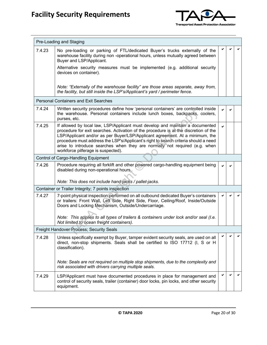

|        | Pre-Loading and Staging                                                                                                                                                                                                                                                                                                                                                                                                                                          |              |   |  |
|--------|------------------------------------------------------------------------------------------------------------------------------------------------------------------------------------------------------------------------------------------------------------------------------------------------------------------------------------------------------------------------------------------------------------------------------------------------------------------|--------------|---|--|
| 7.4.23 | No pre-loading or parking of FTL/dedicated Buyer's trucks externally of the<br>warehouse facility during non -operational hours, unless mutually agreed between<br>Buyer and LSP/Applicant.                                                                                                                                                                                                                                                                      |              |   |  |
|        | Alternative security measures must be implemented (e.g. additional security<br>devices on container).                                                                                                                                                                                                                                                                                                                                                            |              |   |  |
|        | Note: "Externally of the warehouse facility" are those areas separate, away from,<br>the facility, but still inside the LSP's/Applicant's yard / perimeter fence.                                                                                                                                                                                                                                                                                                |              |   |  |
|        | <b>Personal Containers and Exit Searches</b>                                                                                                                                                                                                                                                                                                                                                                                                                     |              |   |  |
| 7.4.24 | Written security procedures define how 'personal containers' are controlled inside<br>the warehouse. Personal containers include lunch boxes, backpacks, coolers,<br>purses, etc.                                                                                                                                                                                                                                                                                |              |   |  |
| 7.4.25 | If allowed by local law, LSP/Applicant must develop and maintain a documented<br>procedure for exit searches. Activation of the procedure is at the discretion of the<br>LSP/Applicant and/or as per Buyer/LSP/Applicant agreement. At a minimum, the<br>procedure must address the LSP's/Applicant's right to search criteria should a need<br>arise to introduce searches when they are normally not required (e.g. when<br>workforce pilferage is suspected). | $\checkmark$ |   |  |
|        | Control of Cargo-Handling Equipment                                                                                                                                                                                                                                                                                                                                                                                                                              |              |   |  |
| 7.4.26 | Procedure requiring all forklift and other powered cargo-handling equipment being<br>disabled during non-operational hours.                                                                                                                                                                                                                                                                                                                                      |              | ✔ |  |
|        | Note: This does not include hand-jacks / pallet-jacks.                                                                                                                                                                                                                                                                                                                                                                                                           |              |   |  |
|        | Container or Trailer Integrity; 7 points inspection                                                                                                                                                                                                                                                                                                                                                                                                              |              |   |  |
| 7.4.27 | 7-point physical inspection performed on all outbound dedicated Buyer's containers<br>or trailers: Front Wall, Left Side, Right Side, Floor, Ceiling/Roof, Inside/Outside<br>Doors and Locking Mechanism, Outside/Undercarriage.                                                                                                                                                                                                                                 |              |   |  |
|        | Note: This applies to all types of trailers & containers under lock and/or seal (I.e.<br>Not limited to ocean freight containers).                                                                                                                                                                                                                                                                                                                               |              |   |  |
|        | Freight Handover Process; Security Seals                                                                                                                                                                                                                                                                                                                                                                                                                         |              |   |  |
| 7.4.28 | Unless specifically exempt by Buyer, tamper evident security seals, are used on all<br>direct, non-stop shipments. Seals shall be certified to ISO 17712 (I, S or H<br>classification).                                                                                                                                                                                                                                                                          |              |   |  |
|        | Note: Seals are not required on multiple stop shipments, due to the complexity and<br>risk associated with drivers carrying multiple seals.                                                                                                                                                                                                                                                                                                                      |              |   |  |
| 7.4.29 | LSP/Applicant must have documented procedures in place for management and<br>control of security seals, trailer (container) door locks, pin locks, and other security<br>equipment.                                                                                                                                                                                                                                                                              |              |   |  |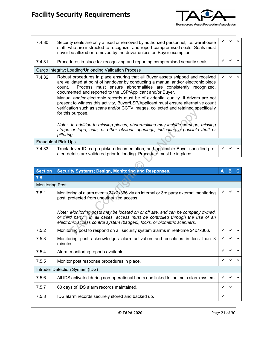

| 7.4.30 | Security seals are only affixed or removed by authorized personnel, <i>i.e.</i> warehouse<br>staff, who are instructed to recognize, and report compromised seals. Seals must<br>never be affixed or removed by the driver unless on Buyer exemption.                                                                                                                                                                                                                                                                                                                                                                                                                                                                                                                                    |  |  |
|--------|------------------------------------------------------------------------------------------------------------------------------------------------------------------------------------------------------------------------------------------------------------------------------------------------------------------------------------------------------------------------------------------------------------------------------------------------------------------------------------------------------------------------------------------------------------------------------------------------------------------------------------------------------------------------------------------------------------------------------------------------------------------------------------------|--|--|
| 7.4.31 | Procedures in place for recognizing and reporting compromised security seals.                                                                                                                                                                                                                                                                                                                                                                                                                                                                                                                                                                                                                                                                                                            |  |  |
|        | Cargo Integrity; Loading/Unloading Validation Process                                                                                                                                                                                                                                                                                                                                                                                                                                                                                                                                                                                                                                                                                                                                    |  |  |
| 7.4.32 | Robust procedures in place ensuring that all Buyer assets shipped and received<br>are validated at point of handover by conducting a manual and/or electronic piece<br>Process must ensure abnormalities are consistently recognized,<br>count.<br>documented and reported to the LSP/Applicant and/or Buyer.<br>Manual and/or electronic records must be of evidential quality. If drivers are not<br>present to witness this activity, Buyer/LSP/Applicant must ensure alternative count<br>verification such as scans and/or CCTV images, collected and retained specifically<br>for this purpose.<br>Note: In addition to missing pieces, abnormalities may include damage, missing<br>straps or tape, cuts, or other obvious openings, indicating a possible theft or<br>pilfering. |  |  |
|        | <b>Fraudulent Pick-Ups</b>                                                                                                                                                                                                                                                                                                                                                                                                                                                                                                                                                                                                                                                                                                                                                               |  |  |
| 7.4.33 | Truck driver ID, cargo pickup documentation, and applicable Buyer-specified pre-<br>alert details are validated prior to loading. Procedure must be in place.                                                                                                                                                                                                                                                                                                                                                                                                                                                                                                                                                                                                                            |  |  |

|                        | for this purpose.                                                                                                                                                                                                    |   |   |    |
|------------------------|----------------------------------------------------------------------------------------------------------------------------------------------------------------------------------------------------------------------|---|---|----|
|                        | Note: In addition to missing pieces, abnormalities may include damage, missing<br>straps or tape, cuts, or other obvious openings, indicating a possible theft or<br>pilfering.                                      |   |   |    |
|                        | <b>Fraudulent Pick-Ups</b>                                                                                                                                                                                           |   |   |    |
| 7.4.33                 | Truck driver ID, cargo pickup documentation, and applicable Buyer-specified pre-<br>alert details are validated prior to loading. Procedure must be in place.                                                        |   |   |    |
|                        |                                                                                                                                                                                                                      |   |   |    |
| <b>Section</b>         | <b>Security Systems; Design, Monitoring and Responses.</b>                                                                                                                                                           | A | B | C. |
| 7.5                    |                                                                                                                                                                                                                      |   |   |    |
| <b>Monitoring Post</b> |                                                                                                                                                                                                                      |   |   |    |
| 7.5.1                  | Monitoring of alarm events 24x7x366 via an internal or 3rd party external monitoring<br>post, protected from unauthorized access.<br>Note: Monitoring posts may be located on or off site, and can be company owned, |   |   |    |
|                        | or third party. In all cases, access must be controlled through the use of an<br>electronic access control system (badges), locks, or biometric scanners.                                                            |   |   |    |
| 7.5.2                  | Monitoring post to respond on all security system alarms in real-time 24x7x366.                                                                                                                                      | ✔ |   |    |
| 7.5.3                  | Monitoring post acknowledges alarm-activation and escalates in less than 3<br>minutes.                                                                                                                               | ✔ | ✔ |    |
| 7.5.4                  | Alarm monitoring reports available.                                                                                                                                                                                  |   | ✔ |    |
| 7.5.5                  | Monitor post response procedures in place.                                                                                                                                                                           |   |   |    |
|                        | Intruder Detection System (IDS)                                                                                                                                                                                      |   |   |    |
| 7.5.6                  | All IDS activated during non-operational hours and linked to the main alarm system.                                                                                                                                  | ✔ |   |    |
| 7.5.7                  | 60 days of IDS alarm records maintained.                                                                                                                                                                             |   |   |    |
| 7.5.8                  | IDS alarm records securely stored and backed up.                                                                                                                                                                     | ✔ |   |    |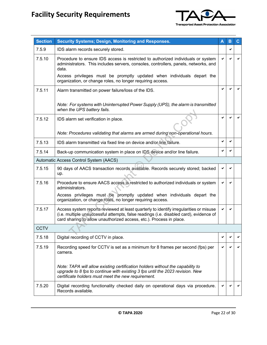

| <b>Section</b> | <b>Security Systems; Design, Monitoring and Responses.</b>                                                                                                                                                                                              | A | в | С |
|----------------|---------------------------------------------------------------------------------------------------------------------------------------------------------------------------------------------------------------------------------------------------------|---|---|---|
| 7.5.9          | IDS alarm records securely stored.                                                                                                                                                                                                                      |   | ✔ |   |
| 7.5.10         | Procedure to ensure IDS access is restricted to authorized individuals or system<br>administrators. This includes servers, consoles, controllers, panels, networks, and<br>data.                                                                        |   |   |   |
|                | Access privileges must be promptly updated when individuals depart the<br>organization, or change roles, no longer requiring access.                                                                                                                    |   |   |   |
| 7.5.11         | Alarm transmitted on power failure/loss of the IDS.                                                                                                                                                                                                     | ✔ |   |   |
|                | Note: For systems with Uninterrupted Power Supply (UPS), the alarm is transmitted<br>when the UPS battery fails.                                                                                                                                        |   |   |   |
| 7.5.12         | IDS alarm set verification in place.                                                                                                                                                                                                                    | ✓ | ✔ |   |
|                | Note: Procedures validating that alarms are armed during non-operational hours.                                                                                                                                                                         |   |   |   |
| 7.5.13         | IDS alarm transmitted via fixed line on device and/or line failure.                                                                                                                                                                                     | ✔ | ✔ |   |
| 7.5.14         | Back-up communication system in place on IDS device and/or line failure.                                                                                                                                                                                |   |   |   |
|                | Automatic Access Control System (AACS)                                                                                                                                                                                                                  |   |   |   |
| 7.5.15         | 90 days of AACS transaction records available. Records securely stored; backed<br>up.                                                                                                                                                                   |   |   |   |
| 7.5.16         | Procedure to ensure AACS access is restricted to authorized individuals or system<br>administrators.                                                                                                                                                    |   |   |   |
|                | Access privileges must be promptly updated when individuals depart the<br>organization, or change roles, no longer requiring access.                                                                                                                    |   |   |   |
| 7.5.17         | Access system reports reviewed at least quarterly to identify irregularities or misuse<br>(i.e. multiple unsuccessful attempts, false readings (i.e. disabled card), evidence of<br>card sharing to allow unauthorized access, etc.). Process in place. |   |   |   |
| <b>CCTV</b>    |                                                                                                                                                                                                                                                         |   |   |   |
| 7.5.18         | Digital recording of CCTV in place.                                                                                                                                                                                                                     |   |   |   |
| 7.5.19         | Recording speed for CCTV is set as a minimum for 8 frames per second (fps) per<br>camera.                                                                                                                                                               |   |   |   |
|                | Note: TAPA will allow existing certification holders without the capability to<br>upgrade to 8 fps to continue with existing 3 fps until the 2023 revision. New<br>certificate holders must meet the new requirement.                                   |   |   |   |
| 7.5.20         | Digital recording functionality checked daily on operational days via procedure.<br>Records available.                                                                                                                                                  |   |   |   |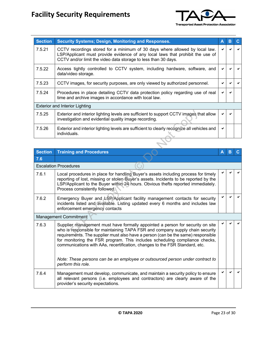

| <b>Section</b> | <b>Security Systems; Design, Monitoring and Responses.</b>                                                                                                                                                                      | Α | в |  |
|----------------|---------------------------------------------------------------------------------------------------------------------------------------------------------------------------------------------------------------------------------|---|---|--|
| 7.5.21         | CCTV recordings stored for a minimum of 30 days where allowed by local law.<br>LSP/Applicant must provide evidence of any local laws that prohibit the use of<br>CCTV and/or limit the video data storage to less than 30 days. | ✔ |   |  |
| 7.5.22         | Access tightly controlled to CCTV system, including hardware, software, and<br>data/video storage.                                                                                                                              |   |   |  |
| 7.5.23         | CCTV images, for security purposes, are only viewed by authorized personnel.                                                                                                                                                    |   |   |  |
| 7.5.24         | Procedures in place detailing CCTV data protection policy regarding use of real<br>time and archive images in accordance with local law.                                                                                        | ✔ |   |  |
|                | <b>Exterior and Interior Lighting</b>                                                                                                                                                                                           |   |   |  |
| 7.5.25         | Exterior and interior lighting levels are sufficient to support CCTV images that allow<br>investigation and evidential quality image recording.                                                                                 | ✔ |   |  |
| 7.5.26         | Exterior and interior lighting levels are sufficient to clearly recognize all vehicles and<br>individuals.                                                                                                                      | ✔ |   |  |

| 7.5.25         | Exterior and interior lighting levels are sufficient to support CCTV images that allow<br>investigation and evidential quality image recording.                                                                                                                                                                                                                                                                                                                                                    |   |   |  |
|----------------|----------------------------------------------------------------------------------------------------------------------------------------------------------------------------------------------------------------------------------------------------------------------------------------------------------------------------------------------------------------------------------------------------------------------------------------------------------------------------------------------------|---|---|--|
| 7.5.26         | Exterior and interior lighting levels are sufficient to clearly recognize all vehicles and<br>individuals.                                                                                                                                                                                                                                                                                                                                                                                         | ✔ |   |  |
|                |                                                                                                                                                                                                                                                                                                                                                                                                                                                                                                    |   |   |  |
| <b>Section</b> | <b>Training and Procedures</b>                                                                                                                                                                                                                                                                                                                                                                                                                                                                     | A | B |  |
| 7.6            |                                                                                                                                                                                                                                                                                                                                                                                                                                                                                                    |   |   |  |
|                | <b>Escalation Procedures</b>                                                                                                                                                                                                                                                                                                                                                                                                                                                                       |   |   |  |
| 7.6.1          | Local procedures in place for handling Buyer's assets including process for timely<br>reporting of lost, missing or stolen Buyer's assets. Incidents to be reported by the<br>LSP/Applicant to the Buyer within 24 hours. Obvious thefts reported immediately.<br>Process consistently followed.                                                                                                                                                                                                   |   |   |  |
| 7.6.2          | Emergency Buyer and LSP/Applicant facility management contacts for security<br>incidents listed and available. Listing updated every 6 months and includes law<br>enforcement emergency contacts                                                                                                                                                                                                                                                                                                   |   |   |  |
|                | <b>Management Commitment</b>                                                                                                                                                                                                                                                                                                                                                                                                                                                                       |   |   |  |
| 7.6.3          | Supplier management must have formally appointed a person for security on site<br>who is responsible for maintaining TAPA FSR and company supply chain security<br>requirements. The supplier must also have a person (can be the same) responsible<br>for monitoring the FSR program. This includes scheduling compliance checks,<br>communications with AAs, recertification, changes to the FSR Standard, etc.<br>Note: These persons can be an employee or outsourced person under contract to |   |   |  |
|                | perform this role.                                                                                                                                                                                                                                                                                                                                                                                                                                                                                 |   |   |  |
| 7.6.4          | Management must develop, communicate, and maintain a security policy to ensure<br>all relevant persons (i.e. employees and contractors) are clearly aware of the<br>provider's security expectations.                                                                                                                                                                                                                                                                                              | ✓ |   |  |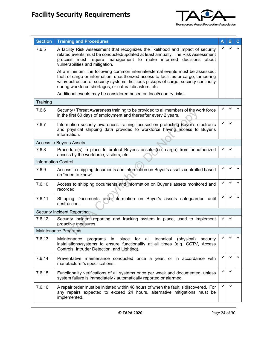

| <b>Section</b> | <b>Training and Procedures</b>                                                                                                                                                                                                                                                                                            | Α | B |   |
|----------------|---------------------------------------------------------------------------------------------------------------------------------------------------------------------------------------------------------------------------------------------------------------------------------------------------------------------------|---|---|---|
| 7.6.5          | A facility Risk Assessment that recognizes the likelihood and impact of security<br>related events must be conducted/updated at least annually. The Risk Assessment<br>process must require management to make informed decisions about<br>vulnerabilities and mitigation.                                                |   |   |   |
|                | At a minimum, the following common internal/external events must be assessed:<br>theft of cargo or information, unauthorized access to facilities or cargo, tampering<br>with/destruction of security systems, fictitious pickups of cargo, security continuity<br>during workforce shortages, or natural disasters, etc. |   |   |   |
|                | Additional events may be considered based on local/country risks.                                                                                                                                                                                                                                                         |   |   |   |
| Training       |                                                                                                                                                                                                                                                                                                                           |   |   |   |
| 7.6.6          | Security / Threat Awareness training to be provided to all members of the work force<br>in the first 60 days of employment and thereafter every 2 years.                                                                                                                                                                  |   |   |   |
| 7.6.7          | Information security awareness training focused on protecting Buyer's electronic<br>and physical shipping data provided to workforce having access to Buyer's<br>information.                                                                                                                                             |   | ✔ |   |
|                | Access to Buyer's Assets                                                                                                                                                                                                                                                                                                  |   |   |   |
| 7.6.8          | Procedure(s) in place to protect Buyer's assets (i.e. cargo) from unauthorized<br>access by the workforce, visitors, etc.                                                                                                                                                                                                 |   | ✔ |   |
|                | <b>Information Control</b>                                                                                                                                                                                                                                                                                                |   |   |   |
| 7.6.9          | Access to shipping documents and information on Buyer's assets controlled based<br>on "need to know".                                                                                                                                                                                                                     |   |   |   |
| 7.6.10         | Access to shipping documents and information on Buyer's assets monitored and<br>recorded.                                                                                                                                                                                                                                 |   | ✔ |   |
| 7.6.11         | Shipping Documents and information on Buyer's assets safeguarded until<br>destruction.                                                                                                                                                                                                                                    |   | ✔ |   |
|                | <b>Security Incident Reporting</b>                                                                                                                                                                                                                                                                                        |   |   |   |
| 7.6.12         | Security incident reporting and tracking system in place, used to implement<br>proactive measures.                                                                                                                                                                                                                        |   |   |   |
|                | Maintenance Programs                                                                                                                                                                                                                                                                                                      |   |   |   |
| 7.6.13         | Maintenance<br>programs in place for all technical<br>(physical)<br>security<br>installations/systems to ensure functionality at all times (e.g. CCTV, Access<br>Controls, Intruder Detection, and Lighting).                                                                                                             |   | ✔ |   |
| 7.6.14         | Preventative maintenance conducted once a year, or in accordance with<br>manufacturer's specifications.                                                                                                                                                                                                                   | ✔ | ✔ | ✔ |
| 7.6.15         | Functionality verifications of all systems once per week and documented, unless<br>system failure is immediately / automatically reported or alarmed.                                                                                                                                                                     |   | ✔ |   |
| 7.6.16         | A repair order must be initiated within 48 hours of when the fault is discovered. For<br>any repairs expected to exceed 24 hours, alternative mitigations must be<br>implemented.                                                                                                                                         | ✔ | ✔ |   |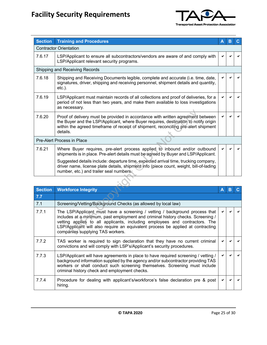

| <b>Section</b> | <b>Training and Procedures</b>                                                                                                                                                                                                                                                                                                                                       | Α | в |    |
|----------------|----------------------------------------------------------------------------------------------------------------------------------------------------------------------------------------------------------------------------------------------------------------------------------------------------------------------------------------------------------------------|---|---|----|
|                | <b>Contractor Orientation</b>                                                                                                                                                                                                                                                                                                                                        |   |   |    |
| 7.6.17         | LSP/Applicant to ensure all subcontractors/vendors are aware of and comply with<br>LSP/Applicant relevant security programs.                                                                                                                                                                                                                                         |   |   |    |
|                | Shipping and Receiving Records                                                                                                                                                                                                                                                                                                                                       |   |   |    |
| 7.6.18         | Shipping and Receiving Documents legible, complete and accurate (i.e. time, date,<br>signatures, driver, shipping and receiving personnel, shipment details and quantity,<br>$etc.$ ).                                                                                                                                                                               |   |   |    |
| 7.6.19         | LSP/Applicant must maintain records of all collections and proof of deliveries, for a<br>period of not less than two years, and make them available to loss investigations<br>as necessary.                                                                                                                                                                          |   |   |    |
| 7.6.20         | Proof of delivery must be provided in accordance with written agreement between<br>the Buyer and the LSP/Applicant, where Buyer requires, destination to notify origin<br>within the agreed timeframe of receipt of shipment, reconciling pre-alert shipment<br>details.                                                                                             |   |   |    |
|                | Pre-Alert Process in Place                                                                                                                                                                                                                                                                                                                                           |   |   |    |
| 7.6.21         | Where Buyer requires, pre-alert process applied to inbound and/or outbound<br>shipments is in place. Pre-alert details must be agreed by Buyer and LSP/Applicant.                                                                                                                                                                                                    |   |   |    |
|                | Suggested details include: departure time, expected arrival time, trucking company,<br>driver name, license plate details, shipment info (piece count, weight, bill-of-lading<br>number, etc.) and trailer seal numbers.                                                                                                                                             |   |   |    |
|                |                                                                                                                                                                                                                                                                                                                                                                      |   |   |    |
| <b>Section</b> | <b>Workforce Integrity</b>                                                                                                                                                                                                                                                                                                                                           | A | B | C. |
| 7.7            |                                                                                                                                                                                                                                                                                                                                                                      |   |   |    |
| 7.1            | Screening/Vetting/Background Checks (as allowed by local law)                                                                                                                                                                                                                                                                                                        |   |   |    |
| 7.7.1          | The LSP/Applicant must have a screening / vetting / background process that<br>includes at a minimum, past employment and criminal history checks. Screening /<br>vetting applies to all applicants, including employees and contractors. The<br>LSP/Applicant will also require an equivalent process be applied at contracting<br>companies supplying TAS workers. |   |   |    |

| <b>Section</b> | <b>Workforce Integrity</b>                                                                                                                                                                                                                                                                                                                                           | A | В |  |
|----------------|----------------------------------------------------------------------------------------------------------------------------------------------------------------------------------------------------------------------------------------------------------------------------------------------------------------------------------------------------------------------|---|---|--|
| 7.7            |                                                                                                                                                                                                                                                                                                                                                                      |   |   |  |
| 7.1            | Screening/Vetting/Background Checks (as allowed by local law)                                                                                                                                                                                                                                                                                                        |   |   |  |
| 7.7.1          | The LSP/Applicant must have a screening / vetting / background process that<br>includes at a minimum, past employment and criminal history checks. Screening /<br>vetting applies to all applicants, including employees and contractors. The<br>LSP/Applicant will also require an equivalent process be applied at contracting<br>companies supplying TAS workers. |   |   |  |
| 7.7.2          | TAS worker is required to sign declaration that they have no current criminal<br>convictions and will comply with LSP's/Applicant's security procedures.                                                                                                                                                                                                             |   |   |  |
| 7.7.3          | LSP/Applicant will have agreements in place to have required screening / vetting /<br>background information supplied by the agency and/or subcontractor providing TAS<br>workers or shall conduct such screening themselves. Screening must include<br>criminal history check and employment checks.                                                                |   |   |  |
| 7.7.4          | Procedure for dealing with applicant's/workforce's false declaration pre & post<br>hiring.                                                                                                                                                                                                                                                                           |   |   |  |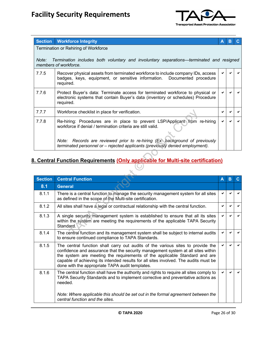

|       | <b>Section</b> Workforce Integrity                                                                                                                                             | Α | В |  |
|-------|--------------------------------------------------------------------------------------------------------------------------------------------------------------------------------|---|---|--|
|       | Termination or Rehiring of Workforce                                                                                                                                           |   |   |  |
| Note: | Termination includes both voluntary and involuntary separations—terminated and resigned<br>members of workforce.                                                               |   |   |  |
| 7.7.5 | Recover physical assets from terminated workforce to include company IDs, access<br>badges, keys, equipment, or sensitive information. Documented procedure<br>required.       |   |   |  |
| 7.7.6 | Protect Buyer's data: Terminate access for terminated workforce to physical or<br>electronic systems that contain Buyer's data (inventory or schedules) Procedure<br>required. |   |   |  |
| 7.7.7 | Workforce checklist in place for verification.                                                                                                                                 |   |   |  |
| 7.7.8 | Re-hiring: Procedures are in place to prevent LSP/Applicant from re-hiring<br>workforce if denial / termination criteria are still valid.                                      |   |   |  |
|       | Records are reviewed prior to re-hiring (Ex: background of previously<br>Note:<br>terminated personnel or – rejected applicants (previously denied employment).                |   |   |  |

## **8. Central Function Requirements (Only applicable for Multi-site certification)**

| 7.7.7          | Workforce checklist in place for verification.                                                                                                                                                                                                                                                                                                                                               |   |   |   |
|----------------|----------------------------------------------------------------------------------------------------------------------------------------------------------------------------------------------------------------------------------------------------------------------------------------------------------------------------------------------------------------------------------------------|---|---|---|
| 7.7.8          | Re-hiring: Procedures are in place to prevent LSP/Applicant from re-hiring<br>workforce if denial / termination criteria are still valid.                                                                                                                                                                                                                                                    |   |   |   |
|                | Note: Records are reviewed prior to re-hiring (Ex. background of previously<br>terminated personnel or - rejected applicants (previously denied employment).                                                                                                                                                                                                                                 |   |   |   |
|                | <u> 3. Central Function Requirements (Only applicable for Multi-site certification)</u>                                                                                                                                                                                                                                                                                                      |   |   |   |
|                |                                                                                                                                                                                                                                                                                                                                                                                              |   |   |   |
| <b>Section</b> | <b>Central Function</b>                                                                                                                                                                                                                                                                                                                                                                      | A | B | C |
| 8.1            | <b>General</b>                                                                                                                                                                                                                                                                                                                                                                               |   |   |   |
| 8.1.1          | There is a central function to manage the security management system for all sites<br>as defined in the scope of the Multi-site certification.                                                                                                                                                                                                                                               | ✓ |   |   |
| 8.1.2          | All sites shall have a legal or contractual relationship with the central function.                                                                                                                                                                                                                                                                                                          | ✔ | ✔ | ✔ |
| 8.1.3          | A single security management system is established to ensure that all its sites<br>within the system are meeting the requirements of the applicable TAPA Security<br>Standard.                                                                                                                                                                                                               | ✔ |   | ◡ |
| 8.1.4          | The central function and its management system shall be subject to internal audits<br>to ensure continued compliance to TAPA Standards.                                                                                                                                                                                                                                                      | ✔ | ✔ | ✔ |
| 8.1.5          | The central function shall carry out audits of the various sites to provide the<br>confidence and assurance that the security management system at all sites within<br>the system are meeting the requirements of the applicable Standard and are<br>capable of achieving its intended results for all sites involved. The audits must be<br>done with the appropriate TAPA audit templates. | ✔ | ✔ | ✔ |
| 8.1.6          | The central function shall have the authority and rights to require all sites comply to<br>TAPA Security Standards and to implement corrective and preventative actions as<br>needed.                                                                                                                                                                                                        | ✓ |   |   |
|                | Note: Where applicable this should be set out in the formal agreement between the<br>central function and the sites.                                                                                                                                                                                                                                                                         |   |   |   |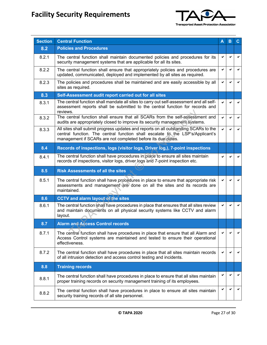

| <b>Section</b> | <b>Central Function</b>                                                                                                                                                                                                              | Α            | в | С |
|----------------|--------------------------------------------------------------------------------------------------------------------------------------------------------------------------------------------------------------------------------------|--------------|---|---|
| 8.2            | <b>Policies and Procedures</b>                                                                                                                                                                                                       |              |   |   |
| 8.2.1          | The central function shall maintain documented policies and procedures for its<br>security management systems that are applicable for all its sites.                                                                                 | ✔            | ✔ |   |
| 8.2.2          | The central function shall ensure that appropriately policies and procedures are<br>updated, communicated, deployed and implemented by all sites as required.                                                                        | ✔            | ✔ | ✓ |
| 8.2.3          | The policies and procedures shall be maintained and are easily accessible by all<br>sites as required.                                                                                                                               | $\checkmark$ | ✓ | ✓ |
| 8.3            | Self-Assessment audit report carried out for all sites                                                                                                                                                                               |              |   |   |
| 8.3.1          | The central function shall mandate all sites to carry out self-assessment and all self-<br>assessment reports shall be submitted to the central function for records and<br>reviews.                                                 |              |   |   |
| 8.3.2          | The central function shall ensure that all SCARs from the self-assessment and<br>audits are appropriately closed to improve its security management systems.                                                                         | ✔            | ✔ |   |
| 8.3.3          | All sites shall submit progress updates and reports on all outstanding SCARs to the<br>central function. The central function shall escalate to the LSP's/Applicant's<br>management if SCARs are not completed before its due dates. | $\checkmark$ | ✓ | ✓ |
| 8.4            | Records of inspections, logs (visitor logs, Driver log,), 7-point inspections                                                                                                                                                        |              |   |   |
| 8.4.1          | The central function shall have procedures in place to ensure all sites maintain<br>records of inspections, visitor logs, driver logs and 7-point inspection etc.                                                                    |              |   |   |
| 8.5            | <b>Risk Assessments of all the sites</b>                                                                                                                                                                                             |              |   |   |
| 8.5.1          | The central function shall have procedures in place to ensure that appropriate risk<br>assessments and management are done on all the sites and its records are<br>maintained.                                                       | ✔            |   |   |
| 8.6            | <b>CCTV and alarm layout of the sites</b>                                                                                                                                                                                            |              |   |   |
| 8.6.1          | The central function shall have procedures in place that ensures that all sites review<br>and maintain documents on all physical security systems like CCTV and alarm<br>layout.                                                     | $\checkmark$ | ✔ |   |
| 8.7            | <b>Alarm and Access Control records</b>                                                                                                                                                                                              |              |   |   |
| 8.7.1          | The central function shall have procedures in place that ensure that all Alarm and<br>Access Control systems are maintained and tested to ensure their operational<br>effectiveness.                                                 |              |   |   |
| 8.7.2          | The central function shall have procedures in place that all sites maintain records<br>of all intrusion detection and access control testing and incidents.                                                                          | ✔            | ✔ |   |
| 8.8            | <b>Training records</b>                                                                                                                                                                                                              |              |   |   |
| 8.8.1          | The central function shall have procedures in place to ensure that all sites maintain<br>proper training records on security management training of its employees.                                                                   |              |   |   |
| 8.8.2          | The central function shall have procedures in place to ensure all sites maintain<br>security training records of all site personnel.                                                                                                 |              |   |   |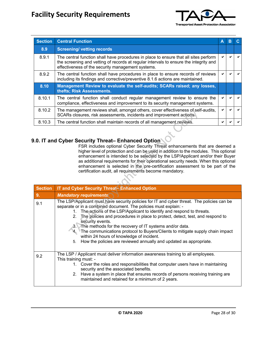

| <b>Section</b> | <b>Central Function</b>                                                                                                                                                                                                            | Α | В |  |
|----------------|------------------------------------------------------------------------------------------------------------------------------------------------------------------------------------------------------------------------------------|---|---|--|
| 8.9            | <b>Screening/ vetting records</b>                                                                                                                                                                                                  |   |   |  |
| 8.9.1          | The central function shall have procedures in place to ensure that all sites perform<br>the screening and vetting of records at regular intervals to ensure the integrity and<br>effectiveness of the security management systems. |   |   |  |
| 8.9.2          | The central function shall have procedures in place to ensure records of reviews<br>including its findings and corrective/preventive 8.1.6 actions are maintained.                                                                 |   |   |  |
| 8.10           | Management Review to evaluate the self-audits; SCARs raised; any losses,<br>thefts; Risk Assessments.                                                                                                                              |   |   |  |
| 8.10.1         | The central function shall conduct regular management review to ensure the<br>compliance, effectiveness and improvement to its security management systems.                                                                        |   |   |  |
| 8.10.2         | The management reviews shall, amongst others, cover effectiveness of self-audits,<br>SCARs closures, risk assessments, incidents and improvement actions.                                                                          |   |   |  |
| 8.10.3         | The central function shall maintain records of all management reviews.                                                                                                                                                             |   |   |  |

#### **9.0. IT and Cyber Security Threat– Enhanced Option**

| 8.10.2         | The management reviews shall, amongst others, cover effectiveness of self-audits,<br>SCARs closures, risk assessments, incidents and improvement actions.                                                                                                                                                                                                                                                                                                                                                                                                                                                                                              | ✔ |   |
|----------------|--------------------------------------------------------------------------------------------------------------------------------------------------------------------------------------------------------------------------------------------------------------------------------------------------------------------------------------------------------------------------------------------------------------------------------------------------------------------------------------------------------------------------------------------------------------------------------------------------------------------------------------------------------|---|---|
| 8.10.3         | The central function shall maintain records of all management reviews.                                                                                                                                                                                                                                                                                                                                                                                                                                                                                                                                                                                 | ✓ | ✓ |
|                | .0. IT and Cyber Security Threat- Enhanced Option<br>FSR includes optional Cyber Security Threat enhancements that are deemed a<br>higher level of protection and can be used in addition to the modules. This optional<br>enhancement is intended to be selected by the LSP/Applicant and/or their Buyer<br>as additional requirements for their operational security needs. When this optional<br>enhancement is selected in the pre-certification assessment to be part of the<br>certification audit, all requirements become mandatory.                                                                                                           |   |   |
| <b>Section</b> | <b>IT and Cyber Security Threat-Enhanced Option</b>                                                                                                                                                                                                                                                                                                                                                                                                                                                                                                                                                                                                    |   |   |
| 9.             | <b>Mandatory requirements</b>                                                                                                                                                                                                                                                                                                                                                                                                                                                                                                                                                                                                                          |   |   |
| 9.1            | The LSP/Applicant must have security policies for IT and cyber threat. The policies can be<br>separate or in a combined document. The policies must explain: -<br>The actions of the LSP/Applicant to identify and respond to threats.<br>$1_{-}$<br>The policies and procedures in place to protect, detect, test, and respond to<br>2 <sub>1</sub><br>security events.<br>3. The methods for the recovery of IT systems and/or data.<br>The communications protocol to Buyers/Clients to mitigate supply chain impact<br>4.<br>within 24 hours of knowledge of incident.<br>How the policies are reviewed annually and updated as appropriate.<br>5. |   |   |
| 9.2            | The LSP / Applicant must deliver information awareness training to all employees.<br>This training must: -<br>1. Cover the roles and responsibilities that computer users have in maintaining<br>security and the associated benefits.<br>2. Have a system in place that ensures records of persons receiving training are<br>maintained and retained for a minimum of 2 years.                                                                                                                                                                                                                                                                        |   |   |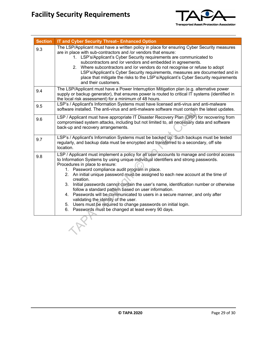

| <b>Section</b> | IT and Cyber Security Threat-Enhanced Option                                                                                                                                                                                                                                                                                                                                                                                                                                                                                                                                                                                                                                                                                                                                   |
|----------------|--------------------------------------------------------------------------------------------------------------------------------------------------------------------------------------------------------------------------------------------------------------------------------------------------------------------------------------------------------------------------------------------------------------------------------------------------------------------------------------------------------------------------------------------------------------------------------------------------------------------------------------------------------------------------------------------------------------------------------------------------------------------------------|
| 9.3            | The LSP/Applicant must have a written policy in place for ensuring Cyber Security measures<br>are in place with sub-contractors and /or vendors that ensure:<br>1. LSP's/Applicant's Cyber Security requirements are communicated to<br>subcontractors and /or vendors and embedded in agreements.<br>2. Where subcontractors and /or vendors do not recognise or refuse to adopt<br>LSP's/Applicant's Cyber Security requirements, measures are documented and in<br>place that mitigate the risks to the LSP's/Applicant's Cyber Security requirements<br>and their customers.                                                                                                                                                                                               |
| 9.4            | The LSP/Applicant must have a Power Interruption Mitigation plan (e.g. alternative power<br>supply or backup generator), that ensures power is routed to critical IT systems (identified in<br>the local risk assessment) for a minimum of 48 hours.                                                                                                                                                                                                                                                                                                                                                                                                                                                                                                                           |
| 9.5            | LSP's / Applicant's Information Systems must have licensed anti-virus and anti-malware<br>software installed. The anti-virus and anti-malware software must contain the latest updates.                                                                                                                                                                                                                                                                                                                                                                                                                                                                                                                                                                                        |
| 9.6            | LSP / Applicant must have appropriate IT Disaster Recovery Plan (DRP) for recovering from<br>compromised system attacks, including but not limited to, all necessary data and software<br>back-up and recovery arrangements.                                                                                                                                                                                                                                                                                                                                                                                                                                                                                                                                                   |
| 9.7            | LSP's / Applicant's Information Systems must be backed up. Such backups must be tested<br>regularly, and backup data must be encrypted and transferred to a secondary, off site<br>location.                                                                                                                                                                                                                                                                                                                                                                                                                                                                                                                                                                                   |
| 9.8            | LSP / Applicant must implement a policy for all user accounts to manage and control access<br>to Information Systems by using unique individual identifiers and strong passwords.<br>Procedures in place to ensure:<br>1. Password compliance audit program in place.<br>2. An initial unique password must be assigned to each new account at the time of<br>creation.<br>3. Initial passwords cannot contain the user's name, identification number or otherwise<br>follow a standard pattern based on user information.<br>4. Passwords will be communicated to users in a secure manner, and only after<br>validating the identity of the user.<br>5. Users must be required to change passwords on initial login.<br>6. Passwords must be changed at least every 90 days. |
|                |                                                                                                                                                                                                                                                                                                                                                                                                                                                                                                                                                                                                                                                                                                                                                                                |